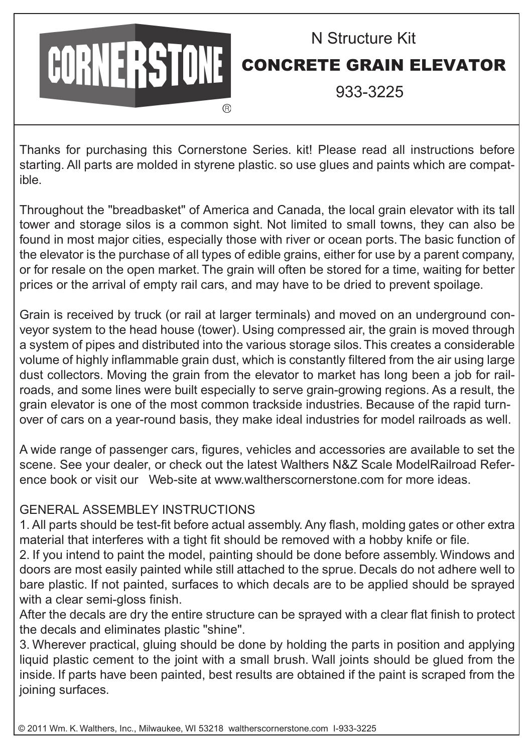## CORNERSTONE

## N Structure Kit CONCRETE GRAIN ELEVATOR

933-3225

Thanks for purchasing this Cornerstone Series. kit! Please read all instructions before starting. All parts are molded in styrene plastic. so use glues and paints which are compatible.

Throughout the "breadbasket" of America and Canada, the local grain elevator with its tall tower and storage silos is a common sight. Not limited to small towns, they can also be found in most major cities, especially those with river or ocean ports. The basic function of the elevator is the purchase of all types of edible grains, either for use by a parent company, or for resale on the open market. The grain will often be stored for a time, waiting for better prices or the arrival of empty rail cars, and may have to be dried to prevent spoilage.

Grain is received by truck (or rail at larger terminals) and moved on an underground conveyor system to the head house (tower). Using compressed air, the grain is moved through a system of pipes and distributed into the various storage silos. This creates a considerable volume of highly inflammable grain dust, which is constantly filtered from the air using large dust collectors. Moving the grain from the elevator to market has long been a job for railroads, and some lines were built especially to serve grain-growing regions. As a result, the grain elevator is one of the most common trackside industries. Because of the rapid turnover of cars on a year-round basis, they make ideal industries for model railroads as well.

A wide range of passenger cars, figures, vehicles and accessories are available to set the scene. See your dealer, or check out the latest Walthers N&Z Scale ModelRailroad Reference book or visit our Web-site at www.waltherscornerstone.com for more ideas.

## GENERAL ASSEMBLEY INSTRUCTIONS

1. All parts should be test-fit before actual assembly. Any flash, molding gates or other extra material that interferes with a tight fit should be removed with a hobby knife or file.

2. If you intend to paint the model, painting should be done before assembly. Windows and doors are most easily painted while still attached to the sprue. Decals do not adhere well to bare plastic. If not painted, surfaces to which decals are to be applied should be sprayed with a clear semi-gloss finish.

After the decals are dry the entire structure can be sprayed with a clear flat finish to protect the decals and eliminates plastic "shine".

3. Wherever practical, gluing should be done by holding the parts in position and applying liquid plastic cement to the joint with a small brush. Wall joints should be glued from the inside. If parts have been painted, best results are obtained if the paint is scraped from the joining surfaces.

© 2011 Wm. K. Walthers, Inc., Milwaukee, WI 53218 waltherscornerstone.com I-933-3225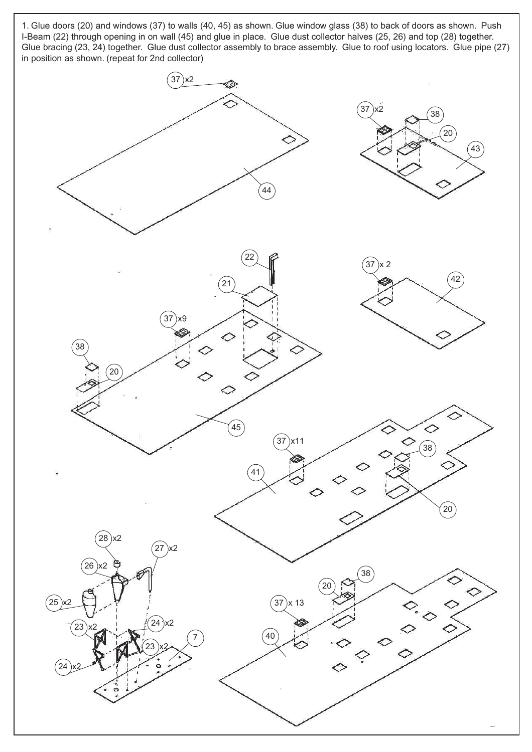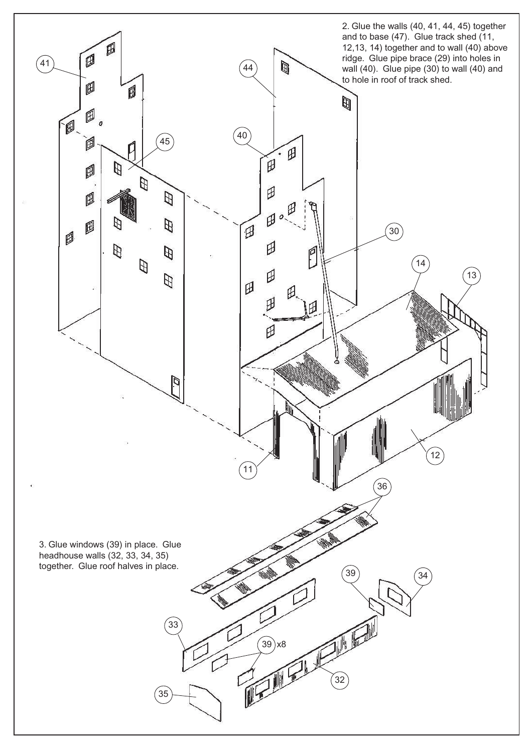